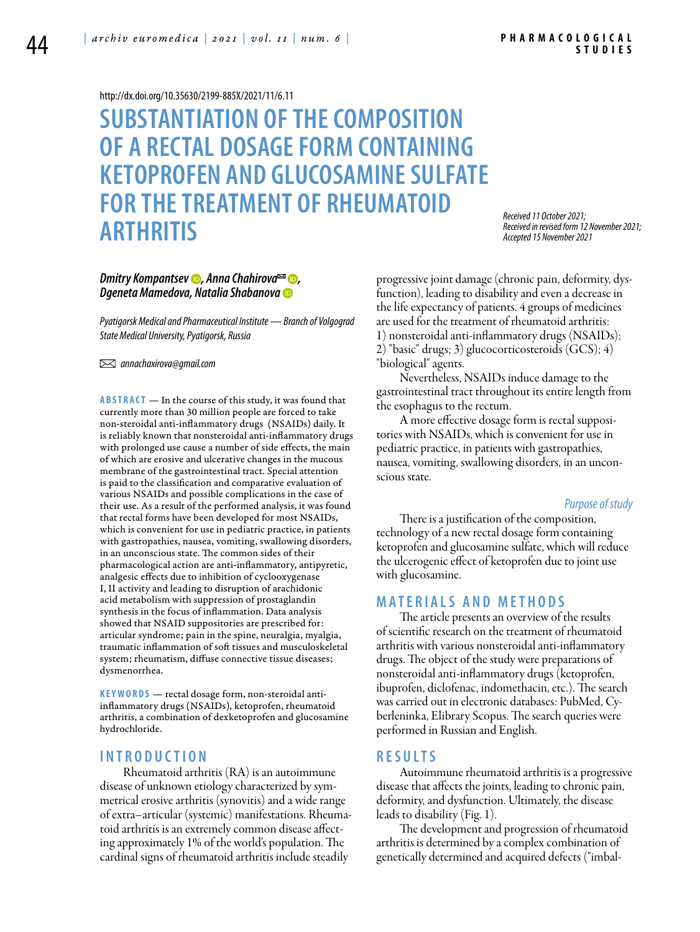#### <http://dx.doi.org/10.35630/2199-885X/2021/11/6.11>

# **Substantiation of the composition of a rectal dosage form containing ketoprofen and glucosamine sulfate for the treatment of rheumatoid arthritis**

*Received 11 October 2021; Received in revised form 12 November 2021; Accepted 15 November 2021*

# *[Dmitry Kompantsev](https://orcid.org/0000-0002-5074-808X) , [Anna Chahirova](https://orcid.org/0000-0002-5265-9478) , Dgeneta Mamedova, [Natalia Shabanova](https://orcid.org/0000-0002-7693-5182)*

*Pyatigorsk Medical and Pharmaceutical Institute — Branch of Volgograd State Medical University, Pyatigorsk, Russia*

 *annachaxirova@gmail.com* 

**ABSTRACT** — In the course of this study, it was found that currently more than 30 million people are forced to take non-steroidal anti-inflammatory drugs (NSAIDs) daily. It is reliably known that nonsteroidal anti-inflammatory drugs with prolonged use cause a number of side effects, the main of which are erosive and ulcerative changes in the mucous membrane of the gastrointestinal tract. Special attention is paid to the classification and comparative evaluation of various NSAIDs and possible complications in the case of their use. As a result of the performed analysis, it was found that rectal forms have been developed for most NSAIDs, which is convenient for use in pediatric practice, in patients with gastropathies, nausea, vomiting, swallowing disorders, in an unconscious state. The common sides of their pharmacological action are anti-inflammatory, antipyretic, analgesic effects due to inhibition of cyclooxygenase I, II activity and leading to disruption of arachidonic acid metabolism with suppression of prostaglandin synthesis in the focus of inflammation. Data analysis showed that NSAID suppositories are prescribed for: articular syndrome; pain in the spine, neuralgia, myalgia, traumatic inflammation of soft tissues and musculoskeletal system; rheumatism, diffuse connective tissue diseases; dysmenorrhea.

KEYWORDS - rectal dosage form, non-steroidal antiinflammatory drugs (NSAIDs), ketoprofen, rheumatoid arthritis, a combination of dexketoprofen and glucosamine hydrochloride.

## **I n t r o d uct i o n**

Rheumatoid arthritis (RA) is an autoimmune disease of unknown etiology characterized by symmetrical erosive arthritis (synovitis) and a wide range of extra–articular (systemic) manifestations. Rheumatoid arthritis is an extremely common disease affecting approximately 1% of the world's population. The cardinal signs of rheumatoid arthritis include steadily

progressive joint damage (chronic pain, deformity, dysfunction), leading to disability and even a decrease in the life expectancy of patients. 4 groups of medicines are used for the treatment of rheumatoid arthritis: 1) nonsteroidal anti-inflammatory drugs (NSAIDs); 2) "basic" drugs; 3) glucocorticosteroids (GCS); 4) "biological" agents.

Nevertheless, NSAIDs induce damage to the gastrointestinal tract throughout its entire length from the esophagus to the rectum.

A more effective dosage form is rectal suppositories with NSAIDs, which is convenient for use in pediatric practice, in patients with gastropathies, nausea, vomiting, swallowing disorders, in an unconscious state.

#### *Purpose of study*

There is a justification of the composition, technology of a new rectal dosage form containing ketoprofen and glucosamine sulfate, which will reduce the ulcerogenic effect of ketoprofen due to joint use with glucosamine.

### **M a t e r i a l s a n d M e t h o d s**

The article presents an overview of the results of scientific research on the treatment of rheumatoid arthritis with various nonsteroidal anti-inflammatory drugs. The object of the study were preparations of nonsteroidal anti-inflammatory drugs (ketoprofen, ibuprofen, diclofenac, indomethacin, etc.). The search was carried out in electronic databases: PubMed, Cyberleninka, Elibrary Scopus. The search queries were performed in Russian and English.

### **R e s u l t s**

Autoimmune rheumatoid arthritis is a progressive disease that affects the joints, leading to chronic pain, deformity, and dysfunction. Ultimately, the disease leads to disability (Fig. 1).

The development and progression of rheumatoid arthritis is determined by a complex combination of genetically determined and acquired defects ("imbal-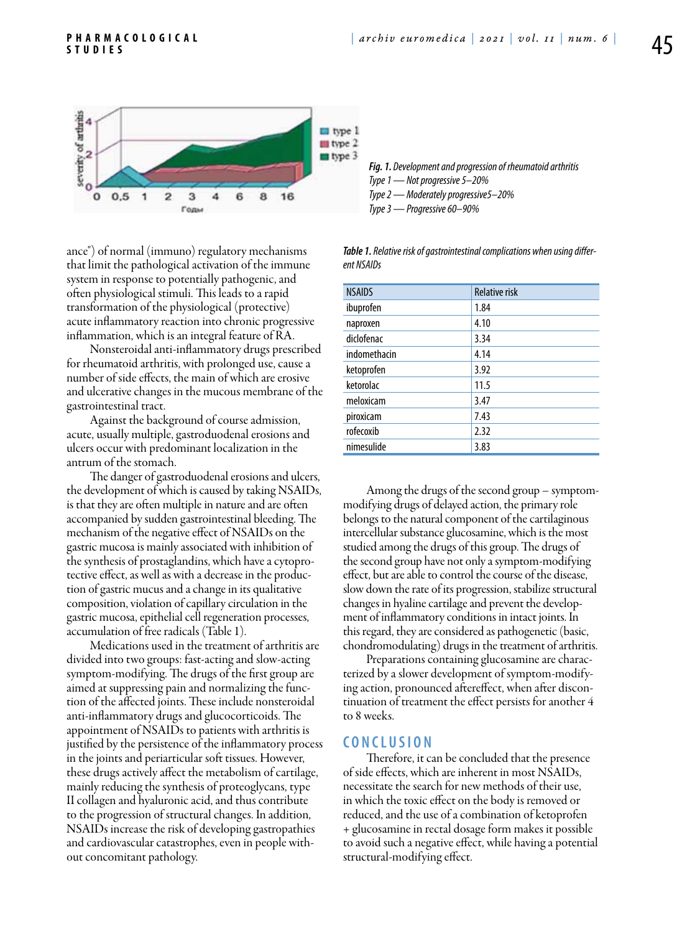

ance") of normal (immuno) regulatory mechanisms that limit the pathological activation of the immune system in response to potentially pathogenic, and often physiological stimuli. This leads to a rapid transformation of the physiological (protective) acute inflammatory reaction into chronic progressive inflammation, which is an integral feature of RA.

Nonsteroidal anti-inflammatory drugs prescribed for rheumatoid arthritis, with prolonged use, cause a number of side effects, the main of which are erosive and ulcerative changes in the mucous membrane of the gastrointestinal tract.

Against the background of course admission, acute, usually multiple, gastroduodenal erosions and ulcers occur with predominant localization in the antrum of the stomach.

The danger of gastroduodenal erosions and ulcers, the development of which is caused by taking NSAIDs, is that they are often multiple in nature and are often accompanied by sudden gastrointestinal bleeding. The mechanism of the negative effect of NSAIDs on the gastric mucosa is mainly associated with inhibition of the synthesis of prostaglandins, which have a cytoprotective effect, as well as with a decrease in the production of gastric mucus and a change in its qualitative composition, violation of capillary circulation in the gastric mucosa, epithelial cell regeneration processes, accumulation of free radicals (Table 1).

Medications used in the treatment of arthritis are divided into two groups: fast-acting and slow-acting symptom-modifying. The drugs of the first group are aimed at suppressing pain and normalizing the function of the affected joints. These include nonsteroidal anti-inflammatory drugs and glucocorticoids. The appointment of NSAIDs to patients with arthritis is justified by the persistence of the inflammatory process in the joints and periarticular soft tissues. However, these drugs actively affect the metabolism of cartilage, mainly reducing the synthesis of proteoglycans, type II collagen and hyaluronic acid, and thus contribute to the progression of structural changes. In addition, NSAIDs increase the risk of developing gastropathies and cardiovascular catastrophes, even in people without concomitant pathology.

*Fig. 1. Development and progression of rheumatoid arthritis Type 1 — Not progressive 5–20% Type 2 — Moderately progressive5–20% Type 3 — Progressive 60–90%*

*Table 1. Relative risk of gastrointestinal complications when using different NSAIDs*

| <b>NSAIDS</b> | <b>Relative risk</b> |
|---------------|----------------------|
| ibuprofen     | 1.84                 |
| naproxen      | 4.10                 |
| diclofenac    | 3.34                 |
| indomethacin  | 4.14                 |
| ketoprofen    | 3.92                 |
| ketorolac     | 11.5                 |
| meloxicam     | 3.47                 |
| piroxicam     | 7.43                 |
| rofecoxib     | 2.32                 |
| nimesulide    | 3.83                 |

Among the drugs of the second group – symptommodifying drugs of delayed action, the primary role belongs to the natural component of the cartilaginous intercellular substance glucosamine, which is the most studied among the drugs of this group. The drugs of the second group have not only a symptom-modifying effect, but are able to control the course of the disease, slow down the rate of its progression, stabilize structural changes in hyaline cartilage and prevent the development of inflammatory conditions in intact joints. In this regard, they are considered as pathogenetic (basic, chondromodulating) drugs in the treatment of arthritis.

Preparations containing glucosamine are characterized by a slower development of symptom-modifying action, pronounced aftereffect, when after discontinuation of treatment the effect persists for another 4 to 8 weeks.

#### **C o n cl u s i o n**

Therefore, it can be concluded that the presence of side effects, which are inherent in most NSAIDs, necessitate the search for new methods of their use, in which the toxic effect on the body is removed or reduced, and the use of a combination of ketoprofen + glucosamine in rectal dosage form makes it possible to avoid such a negative effect, while having a potential structural-modifying effect.